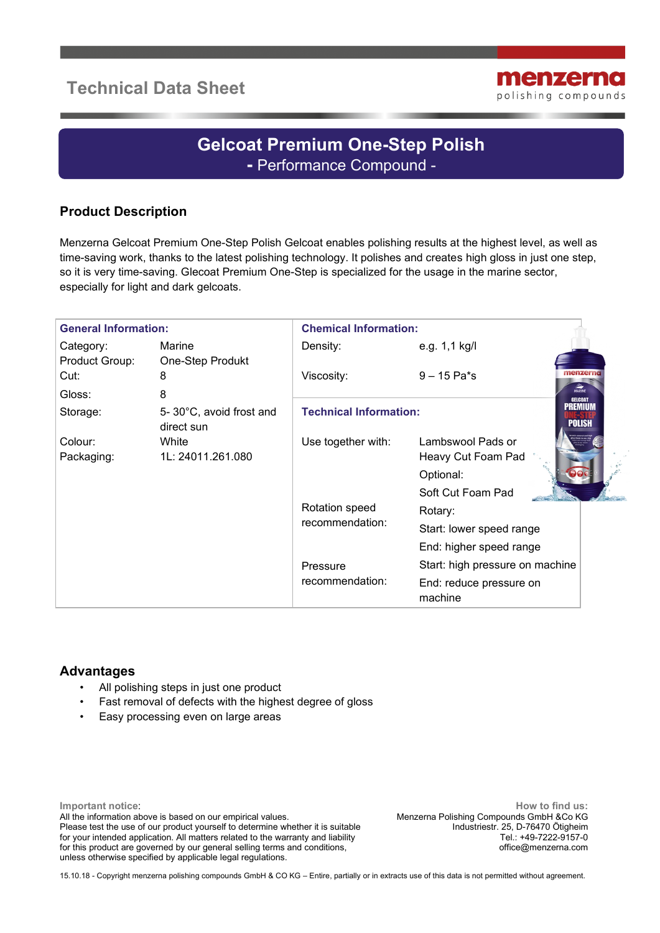# **Technical Data Sheet**



# **Gelcoat Premium One-Step Polish -** Performance Compound -

## **Product Description**

Menzerna Gelcoat Premium One-Step Polish Gelcoat enables polishing results at the highest level, as well as time-saving work, thanks to the latest polishing technology. It polishes and creates high gloss in just one step, so it is very time-saving. Glecoat Premium One-Step is specialized for the usage in the marine sector, especially for light and dark gelcoats.

| <b>General Information:</b> |                                       | <b>Chemical Information:</b>                                     |                                    |  |
|-----------------------------|---------------------------------------|------------------------------------------------------------------|------------------------------------|--|
| Category:                   | Marine                                | Density:                                                         | e.g. 1,1 kg/l                      |  |
| Product Group:              | One-Step Produkt                      |                                                                  |                                    |  |
| Cut:                        | 8                                     | Viscosity:                                                       | menzerna<br>$9 - 15$ Pa*s          |  |
| Gloss:                      | 8                                     |                                                                  | MARINE<br><b>GELCOAT</b>           |  |
| Storage:                    | 5-30°C, avoid frost and<br>direct sun | <b>PREMIUM</b><br><b>Technical Information:</b><br><b>POLISH</b> |                                    |  |
| Colour:                     | White                                 | Use together with:                                               | Lambswool Pads or                  |  |
| Packaging:                  | 1L: 24011.261.080                     |                                                                  | Heavy Cut Foam Pad                 |  |
|                             |                                       |                                                                  | Optional:                          |  |
|                             |                                       |                                                                  | Soft Cut Foam Pad                  |  |
|                             |                                       | Rotation speed<br>recommendation:                                | Rotary:                            |  |
|                             |                                       |                                                                  | Start: lower speed range           |  |
|                             |                                       |                                                                  | End: higher speed range            |  |
|                             |                                       | Pressure<br>recommendation:                                      | Start: high pressure on machine    |  |
|                             |                                       |                                                                  | End: reduce pressure on<br>machine |  |

#### **Advantages**

- All polishing steps in just one product
- Fast removal of defects with the highest degree of gloss
- Easy processing even on large areas

**Important notice**: All the information above is based on our empirical values. Please test the use of our product yourself to determine whether it is suitable for your intended application. All matters related to the warranty and liability for this product are governed by our general selling terms and conditions, unless otherwise specified by applicable legal regulations.

**How to find us:** Menzerna Polishing Compounds GmbH &Co KG Industriestr. 25, D-76470 Ötigheim Tel.: +49-7222-9157-0 office@menzerna.com

15.10.18 - Copyright menzerna polishing compounds GmbH & CO KG – Entire, partially or in extracts use of this data is not permitted without agreement.